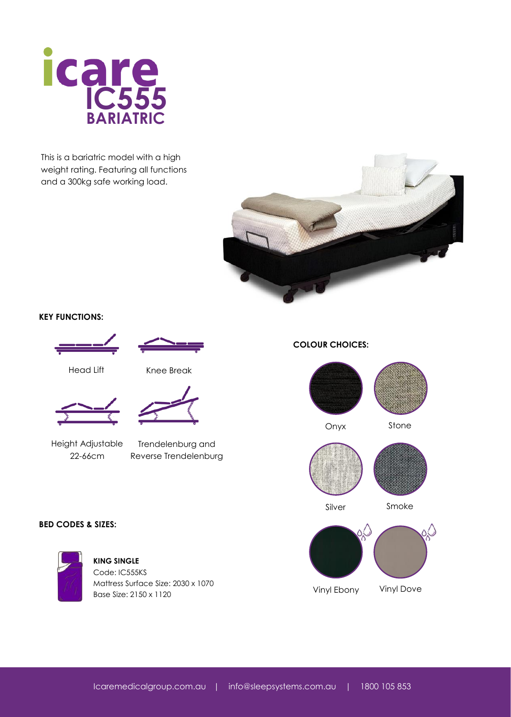

This is a bariatric model with a high weight rating. Featuring all functions and a 300kg safe working load.



## **KEY FUNCTIONS:**





Head Lift Knee Break





Height Adjustable 22-66cm

Trendelenburg and Reverse Trendelenburg

#### **COLOUR CHOICES:**





Silver Smoke



# **BED CODES & SIZES:**



**KING SINGLE** Code: IC555KS Mattress Surface Size: 2030 x 1070 Base Size: 2150 x 1120